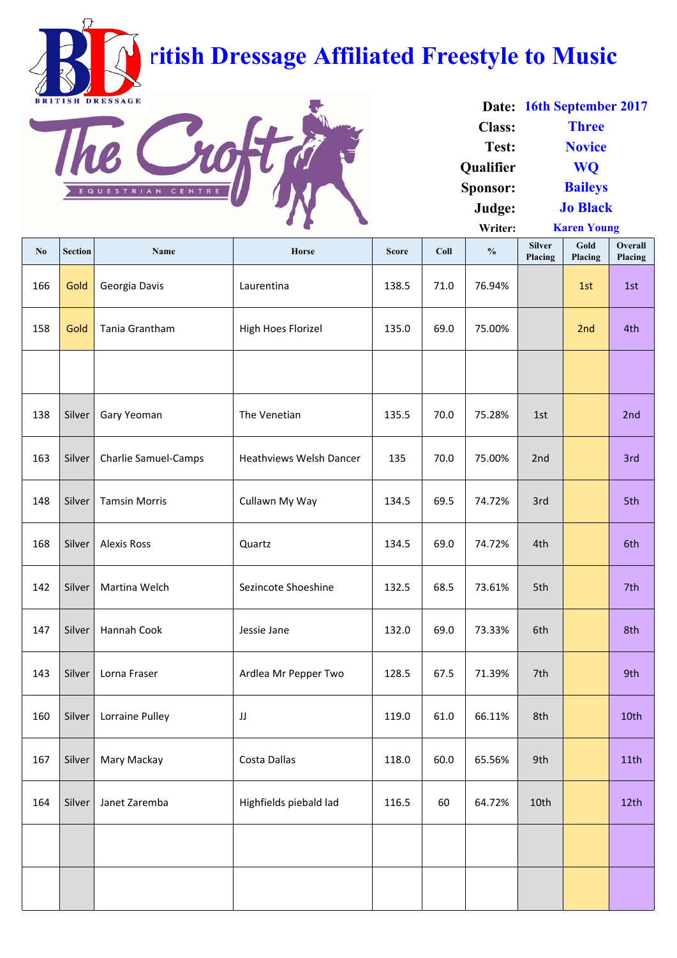| No  | <b>Section</b> | <b>Name</b>                 | <b>Horse</b>                   | <b>Score</b> | Coll | $\frac{0}{0}$ | <b>Silver</b><br>Placing | Gold<br>Placing | 0<br>Overall<br>Placing |
|-----|----------------|-----------------------------|--------------------------------|--------------|------|---------------|--------------------------|-----------------|-------------------------|
| 166 | Gold           | Georgia Davis               | Laurentina                     | 138.5        | 71.0 | 76.94%        |                          | 1st             | 1st                     |
| 158 | Gold           | Tania Grantham              | <b>High Hoes Florizel</b>      | 135.0        | 69.0 | 75.00%        |                          | 2nd             | 4th                     |
|     |                |                             |                                |              |      |               |                          |                 |                         |
| 138 | Silver         | Gary Yeoman                 | The Venetian                   | 135.5        | 70.0 | 75.28%        | 1st                      |                 | 2nd                     |
| 163 | Silver         | <b>Charlie Samuel-Camps</b> | <b>Heathviews Welsh Dancer</b> | 135          | 70.0 | 75.00%        | 2nd                      |                 | 3rd                     |
| 148 | Silver         | <b>Tamsin Morris</b>        | Cullawn My Way                 | 134.5        | 69.5 | 74.72%        | 3rd                      |                 | 5th                     |
| 168 | Silver         | <b>Alexis Ross</b>          | Quartz                         | 134.5        | 69.0 | 74.72%        | 4th                      |                 | 6th                     |
| 142 | <b>Silver</b>  | Martina Welch               | Sezincote Shoeshine            | 132.5        | 68.5 | 73.61%        | 5th                      |                 | 7th                     |
| 147 | Silver         | Hannah Cook                 | Jessie Jane                    | 132.0        | 69.0 | 73.33%        | 6th                      |                 | 8th                     |
| 143 | Silver         | Lorna Fraser                | Ardlea Mr Pepper Two           | 128.5        | 67.5 | 71.39%        | 7th                      |                 | 9th                     |
| 160 | Silver         | Lorraine Pulley             | JJ                             | 119.0        | 61.0 | 66.11%        | 8th                      |                 | 10th                    |
| 167 | Silver         | Mary Mackay                 | Costa Dallas                   | 118.0        | 60.0 | 65.56%        | 9th                      |                 | 11th                    |
| 164 | Silver         | Janet Zaremba               | Highfields piebald lad         | 116.5        | 60   | 64.72%        | 10th                     |                 | 12 <sup>th</sup>        |
|     |                |                             |                                |              |      |               |                          |                 |                         |
|     |                |                             |                                |              |      |               |                          |                 |                         |

**Date: 16th September 2017 Class: Test: Qualifier Sponsor: Judge: Writer: Jo Black Karen Young Three Novice WQ Baileys**



## **British Dressage Affiliated Freestyle to Music**